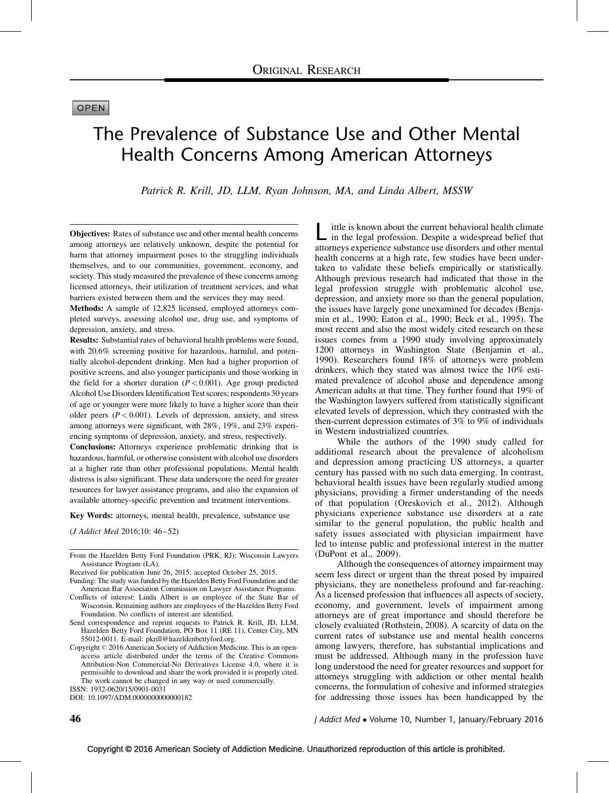# **OPEN**

# The Prevalence of Substance Use and Other Mental Health Concerns Among American Attorneys

Patrick R. Krill, JD, LLM, Ryan Johnson, MA, and Linda Albert, MSSW

Objectives: Rates of substance use and other mental health concerns among attorneys are relatively unknown, despite the potential for harm that attorney impairment poses to the struggling individuals themselves, and to our communities, government, economy, and society. This study measured the prevalence of these concerns among licensed attorneys, their utilization of treatment services, and what barriers existed between them and the services they may need.

Methods: A sample of 12,825 licensed, employed attorneys completed surveys, assessing alcohol use, drug use, and symptoms of depression, anxiety, and stress.

Results: Substantial rates of behavioral health problems were found, with 20.6% screening positive for hazardous, harmful, and potentially alcohol-dependent drinking. Men had a higher proportion of positive screens, and also younger participants and those working in the field for a shorter duration  $(P < 0.001)$ . Age group predicted Alcohol Use Disorders Identification Test scores; respondents 30 years of age or younger were more likely to have a higher score than their older peers  $(P < 0.001)$ . Levels of depression, anxiety, and stress among attorneys were significant, with 28%, 19%, and 23% experiencing symptoms of depression, anxiety, and stress, respectively.

Conclusions: Attorneys experience problematic drinking that is hazardous, harmful, or otherwise consistent with alcohol use disorders at a higher rate than other professional populations. Mental health distress is also significant. These data underscore the need for greater resources for lawyer assistance programs, and also the expansion of available attorney-specific prevention and treatment interventions.

Key Words: attorneys, mental health, prevalence, substance use

(J Addict Med 2016;10: 46–52)

DOI: 10.1097/ADM.0000000000000182

Ittle is known about the current behavioral health climate<br>in the legal profession. Despite a widespread belief that attorneys experience substance use disorders and other mental health concerns at a high rate, few studies have been undertaken to validate these beliefs empirically or statistically. Although previous research had indicated that those in the legal profession struggle with problematic alcohol use, depression, and anxiety more so than the general population, the issues have largely gone unexamined for decades [\(Benja](#page-6-0)[min et al., 1990; Eaton et al., 1990; Beck et al., 1995](#page-6-0)). The most recent and also the most widely cited research on these issues comes from a 1990 study involving approximately 1200 attorneys in Washington State ([Benjamin et al.,](#page-6-0) [1990\)](#page-6-0). Researchers found 18% of attorneys were problem drinkers, which they stated was almost twice the 10% estimated prevalence of alcohol abuse and dependence among American adults at that time. They further found that 19% of the Washington lawyers suffered from statistically significant elevated levels of depression, which they contrasted with the then-current depression estimates of 3% to 9% of individuals in Western industrialized countries.

While the authors of the 1990 study called for additional research about the prevalence of alcoholism and depression among practicing US attorneys, a quarter century has passed with no such data emerging. In contrast, behavioral health issues have been regularly studied among physicians, providing a firmer understanding of the needs of that population [\(Oreskovich et al., 2012\)](#page-6-0). Although physicians experience substance use disorders at a rate similar to the general population, the public health and safety issues associated with physician impairment have led to intense public and professional interest in the matter [\(DuPont et al., 2009](#page-6-0)).

Although the consequences of attorney impairment may seem less direct or urgent than the threat posed by impaired physicians, they are nonetheless profound and far-reaching. As a licensed profession that influences all aspects of society, economy, and government, levels of impairment among attorneys are of great importance and should therefore be closely evaluated ([Rothstein, 2008](#page-6-0)). A scarcity of data on the current rates of substance use and mental health concerns among lawyers, therefore, has substantial implications and must be addressed. Although many in the profession have long understood the need for greater resources and support for attorneys struggling with addiction or other mental health concerns, the formulation of cohesive and informed strategies for addressing those issues has been handicapped by the

**46** J Addict Med • Volume 10, Number 1, January/February 2016

From the Hazelden Betty Ford Foundation (PRK, RJ); Wisconsin Lawyers Assistance Program (LA).

Received for publication June 26, 2015; accepted October 25, 2015.

Funding: The study was funded by the Hazelden Betty Ford Foundation and the American Bar Association Commission on Lawyer Assistance Programs.

Conflicts of interest: Linda Albert is an employee of the State Bar of Wisconsin. Remaining authors are employees of the Hazelden Betty Ford Foundation. No conflicts of interest are identified.

Send correspondence and reprint requests to Patrick R. Krill, JD, LLM, Hazelden Betty Ford Foundation, PO Box 11 (RE 11), Center City, MN 55012-0011. E-mail: [pkrill@hazeldenbettyford.org](mailto:pkrill@hazeldenbettyford.org).

Copyright © 2016 American Society of Addiction Medicine. This is an openaccess article distributed under the terms of the Creative Commons Attribution-Non Commercial-No Derivatives License 4.0, where it is permissible to download and share the work provided it is properly cited. The work cannot be changed in any way or used commercially. ISSN: 1932-0620/15/0901-0031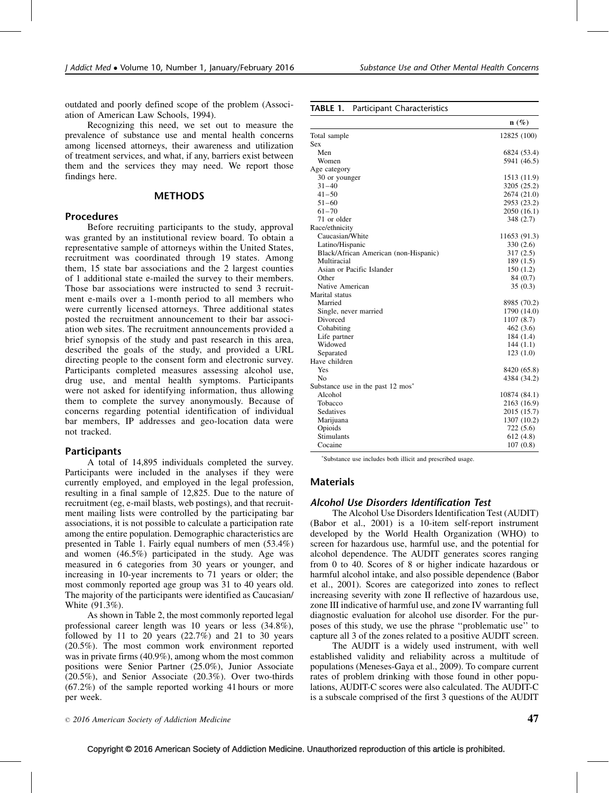outdated and poorly defined scope of the problem ([Associ](#page-6-0)[ation of American Law Schools, 1994](#page-6-0)).

Recognizing this need, we set out to measure the prevalence of substance use and mental health concerns among licensed attorneys, their awareness and utilization of treatment services, and what, if any, barriers exist between them and the services they may need. We report those findings here.

# **METHODS**

# Procedures

Before recruiting participants to the study, approval was granted by an institutional review board. To obtain a representative sample of attorneys within the United States, recruitment was coordinated through 19 states. Among them, 15 state bar associations and the 2 largest counties of 1 additional state e-mailed the survey to their members. Those bar associations were instructed to send 3 recruitment e-mails over a 1-month period to all members who were currently licensed attorneys. Three additional states posted the recruitment announcement to their bar association web sites. The recruitment announcements provided a brief synopsis of the study and past research in this area, described the goals of the study, and provided a URL directing people to the consent form and electronic survey. Participants completed measures assessing alcohol use, drug use, and mental health symptoms. Participants were not asked for identifying information, thus allowing them to complete the survey anonymously. Because of concerns regarding potential identification of individual bar members, IP addresses and geo-location data were not tracked.

## Participants

A total of 14,895 individuals completed the survey. Participants were included in the analyses if they were currently employed, and employed in the legal profession, resulting in a final sample of 12,825. Due to the nature of recruitment (eg, e-mail blasts, web postings), and that recruitment mailing lists were controlled by the participating bar associations, it is not possible to calculate a participation rate among the entire population. Demographic characteristics are presented in Table 1. Fairly equal numbers of men (53.4%) and women (46.5%) participated in the study. Age was measured in 6 categories from 30 years or younger, and increasing in 10-year increments to 71 years or older; the most commonly reported age group was 31 to 40 years old. The majority of the participants were identified as Caucasian/ White (91.3%).

As shown in Table 2, the most commonly reported legal professional career length was 10 years or less (34.8%), followed by 11 to 20 years  $(22.7%)$  and 21 to 30 years (20.5%). The most common work environment reported was in private firms (40.9%), among whom the most common positions were Senior Partner (25.0%), Junior Associate (20.5%), and Senior Associate (20.3%). Over two-thirds (67.2%) of the sample reported working 41 hours or more per week.

 $\degree$  2016 American Society of Addiction Medicine  $47$ 

| <b>TABLE 1.</b> Participant Characteristics |             |
|---------------------------------------------|-------------|
|                                             | $n(\%)$     |
| Total sample                                | 12825 (100) |
| <b>Sex</b>                                  |             |
| Men                                         | 6824 (53.4) |
| Women                                       | 5941 (46.5) |
| Age category                                |             |
| 30 or younger                               | 1513 (11.9) |
| $31 - 40$                                   | 3205 (25.2) |
| $41 - 50$                                   | 2674 (21.0) |
| $51 - 60$                                   | 2953 (23.2) |
| $61 - 70$                                   | 2050(16.1)  |
| 71 or older                                 | 348(2.7)    |
| Race/ethnicity                              |             |
| Caucasian/White                             | 11653(013)  |

| $J1 = 00$                                    | الطاقيصا ودرعا |
|----------------------------------------------|----------------|
| $61 - 70$                                    | 2050 (16.1)    |
| 71 or older                                  | 348 (2.7)      |
| Race/ethnicity                               |                |
| Caucasian/White                              | 11653 (91.3)   |
| Latino/Hispanic                              | 330 (2.6)      |
| Black/African American (non-Hispanic)        | 317(2.5)       |
| Multiracial                                  | 189(1.5)       |
| Asian or Pacific Islander                    | 150(1.2)       |
| Other                                        | 84 (0.7)       |
| Native American                              | 35(0.3)        |
| Marital status                               |                |
| Married                                      | 8985 (70.2)    |
| Single, never married                        | 1790 (14.0)    |
| Divorced                                     | 1107(8.7)      |
| Cohabiting                                   | 462(3.6)       |
| Life partner                                 | 184 (1.4)      |
| Widowed                                      | 144(1.1)       |
| Separated                                    | 123(1.0)       |
| Have children                                |                |
| Yes                                          | 8420 (65.8)    |
| No                                           | 4384 (34.2)    |
| Substance use in the past $12 \text{ mos}^*$ |                |
| Alcohol                                      | 10874 (84.1)   |
| Tobacco                                      | 2163 (16.9)    |
| <b>Sedatives</b>                             | 2015 (15.7)    |
| Marijuana                                    | 1307 (10.2)    |
| Opioids                                      | 722 (5.6)      |
| <b>Stimulants</b>                            | 612(4.8)       |
| Cocaine                                      | 107(0.8)       |

Substance use includes both illicit and prescribed usage.

# Materials

## Alcohol Use Disorders Identification Test

The Alcohol Use Disorders Identification Test (AUDIT) [\(Babor et al., 2001](#page-6-0)) is a 10-item self-report instrument developed by the World Health Organization (WHO) to screen for hazardous use, harmful use, and the potential for alcohol dependence. The AUDIT generates scores ranging from 0 to 40. Scores of 8 or higher indicate hazardous or harmful alcohol intake, and also possible dependence ([Babor](#page-6-0) [et al., 2001\)](#page-6-0). Scores are categorized into zones to reflect increasing severity with zone II reflective of hazardous use, zone III indicative of harmful use, and zone IV warranting full diagnostic evaluation for alcohol use disorder. For the purposes of this study, we use the phrase ''problematic use'' to capture all 3 of the zones related to a positive AUDIT screen.

The AUDIT is a widely used instrument, with well established validity and reliability across a multitude of populations [\(Meneses-Gaya et al., 2009\)](#page-6-0). To compare current rates of problem drinking with those found in other populations, AUDIT-C scores were also calculated. The AUDIT-C is a subscale comprised of the first 3 questions of the AUDIT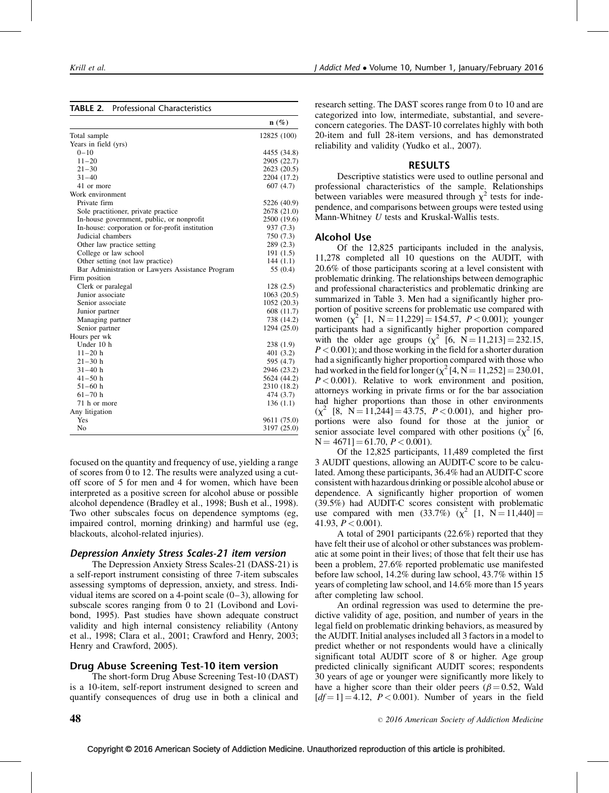|                                                  | $n(\%)$     |
|--------------------------------------------------|-------------|
| Total sample                                     | 12825 (100) |
| Years in field (yrs)                             |             |
| $0 - 10$                                         | 4455 (34.8) |
| $11 - 20$                                        | 2905 (22.7) |
| $21 - 30$                                        | 2623 (20.5) |
| $31 - 40$                                        | 2204 (17.2) |
| 41 or more                                       | 607(4.7)    |
| Work environment                                 |             |
| Private firm                                     | 5226 (40.9) |
| Sole practitioner, private practice              | 2678 (21.0) |
| In-house government, public, or nonprofit        | 2500 (19.6) |
| In-house: corporation or for-profit institution  | 937 (7.3)   |
| Judicial chambers                                | 750 (7.3)   |
| Other law practice setting                       | 289 (2.3)   |
| College or law school                            | 191(1.5)    |
| Other setting (not law practice)                 | 144(1.1)    |
| Bar Administration or Lawyers Assistance Program | 55 (0.4)    |
| Firm position                                    |             |
| Clerk or paralegal                               | 128(2.5)    |
| Junior associate                                 | 1063(20.5)  |
| Senior associate                                 | 1052 (20.3) |
| Junior partner                                   | 608 (11.7)  |
| Managing partner                                 | 738 (14.2)  |
| Senior partner                                   | 1294 (25.0) |
| Hours per wk                                     |             |
| Under 10 h                                       | 238 (1.9)   |
| $11 - 20$ h                                      | 401 (3.2)   |
| $21 - 30 h$                                      | 595 (4.7)   |
| $31 - 40 h$                                      | 2946 (23.2) |
| $41 - 50$ h                                      | 5624 (44.2) |
| $51 - 60$ h                                      | 2310 (18.2) |
| $61 - 70 h$                                      | 474 (3.7)   |
| 71 h or more                                     | 136(1.1)    |
| Any litigation                                   |             |
| Yes                                              | 9611 (75.0) |
| No                                               | 3197 (25.0) |

focused on the quantity and frequency of use, yielding a range of scores from 0 to 12. The results were analyzed using a cutoff score of 5 for men and 4 for women, which have been interpreted as a positive screen for alcohol abuse or possible alcohol dependence ([Bradley et al., 1998; Bush et al., 1998](#page-6-0)). Two other subscales focus on dependence symptoms (eg, impaired control, morning drinking) and harmful use (eg, blackouts, alcohol-related injuries).

## Depression Anxiety Stress Scales-21 item version

The Depression Anxiety Stress Scales-21 (DASS-21) is a self-report instrument consisting of three 7-item subscales assessing symptoms of depression, anxiety, and stress. Individual items are scored on a 4-point scale  $(0-3)$ , allowing for subscale scores ranging from 0 to 21 ([Lovibond and Lovi](#page-6-0)[bond, 1995](#page-6-0)). Past studies have shown adequate construct validity and high internal consistency reliability [\(Antony](#page-6-0) [et al., 1998; Clara et al., 2001; Crawford and Henry, 2003;](#page-6-0) [Henry and Crawford, 2005\)](#page-6-0).

# Drug Abuse Screening Test-10 item version

The short-form Drug Abuse Screening Test-10 (DAST) is a 10-item, self-report instrument designed to screen and quantify consequences of drug use in both a clinical and research setting. The DAST scores range from 0 to 10 and are categorized into low, intermediate, substantial, and severeconcern categories. The DAST-10 correlates highly with both 20-item and full 28-item versions, and has demonstrated reliability and validity [\(Yudko et al., 2007\)](#page-6-0).

#### RESULTS

Descriptive statistics were used to outline personal and professional characteristics of the sample. Relationships between variables were measured through  $\chi^2$  tests for independence, and comparisons between groups were tested using Mann-Whitney U tests and Kruskal-Wallis tests.

## Alcohol Use

Of the 12,825 participants included in the analysis, 11,278 completed all 10 questions on the AUDIT, with 20.6% of those participants scoring at a level consistent with problematic drinking. The relationships between demographic and professional characteristics and problematic drinking are summarized in Table 3. Men had a significantly higher proportion of positive screens for problematic use compared with women  $(\chi^2$  [1, N = 11,229] = 154.57, P < 0.001); younger participants had a significantly higher proportion compared with the older age groups  $(\chi^2 \bar{16}, \bar{N} = 11,213) = 232.15$ ,  $P < 0.001$ ; and those working in the field for a shorter duration had a significantly higher proportion compared with those who had worked in the field for longer ( $\chi^2$  [4, N = 11,252] = 230.01,  $P < 0.001$ ). Relative to work environment and position, attorneys working in private firms or for the bar association had higher proportions than those in other environments  $(\chi^2$  [8, N = 11,244] = 43.75, P < 0.001), and higher proportions were also found for those at the junior or senior associate level compared with other positions  $(\chi^2)$  [6,  $N = 4671$ ] = 61.70,  $P < 0.001$ ).

Of the 12,825 participants, 11,489 completed the first 3 AUDIT questions, allowing an AUDIT-C score to be calculated. Among these participants, 36.4% had an AUDIT-C score consistent with hazardous drinking or possible alcohol abuse or dependence. A significantly higher proportion of women (39.5%) had AUDIT-C scores consistent with problematic use compared with men (33.7%) ( $\chi^2$  [1, N = 11,440] = 41.93,  $P < 0.001$ ).

A total of 2901 participants (22.6%) reported that they have felt their use of alcohol or other substances was problematic at some point in their lives; of those that felt their use has been a problem, 27.6% reported problematic use manifested before law school, 14.2% during law school, 43.7% within 15 years of completing law school, and 14.6% more than 15 years after completing law school.

An ordinal regression was used to determine the predictive validity of age, position, and number of years in the legal field on problematic drinking behaviors, as measured by the AUDIT. Initial analyses included all 3 factors in a model to predict whether or not respondents would have a clinically significant total AUDIT score of 8 or higher. Age group predicted clinically significant AUDIT scores; respondents 30 years of age or younger were significantly more likely to have a higher score than their older peers ( $\beta$  = 0.52, Wald  $[d=1] = 4.12$ ,  $P < 0.001$ ). Number of years in the field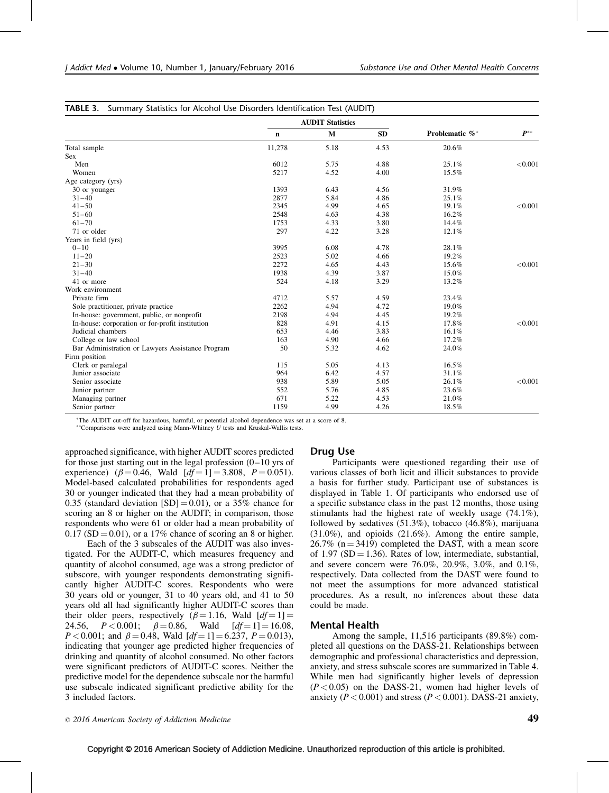|                                                  |             | <b>AUDIT Statistics</b> |           |                |          |  |  |
|--------------------------------------------------|-------------|-------------------------|-----------|----------------|----------|--|--|
|                                                  | $\mathbf n$ | $\mathbf{M}$            | <b>SD</b> | Problematic %* | $P^{**}$ |  |  |
| Total sample                                     | 11,278      | 5.18                    | 4.53      | 20.6%          |          |  |  |
| <b>Sex</b>                                       |             |                         |           |                |          |  |  |
| Men                                              | 6012        | 5.75                    | 4.88      | 25.1%          | < 0.001  |  |  |
| Women                                            | 5217        | 4.52                    | 4.00      | 15.5%          |          |  |  |
| Age category (yrs)                               |             |                         |           |                |          |  |  |
| 30 or younger                                    | 1393        | 6.43                    | 4.56      | 31.9%          |          |  |  |
| $31 - 40$                                        | 2877        | 5.84                    | 4.86      | 25.1%          |          |  |  |
| $41 - 50$                                        | 2345        | 4.99                    | 4.65      | 19.1%          | < 0.001  |  |  |
| $51 - 60$                                        | 2548        | 4.63                    | 4.38      | 16.2%          |          |  |  |
| $61 - 70$                                        | 1753        | 4.33                    | 3.80      | 14.4%          |          |  |  |
| 71 or older                                      | 297         | 4.22                    | 3.28      | 12.1%          |          |  |  |
| Years in field (yrs)                             |             |                         |           |                |          |  |  |
| $0 - 10$                                         | 3995        | 6.08                    | 4.78      | 28.1%          |          |  |  |
| $11 - 20$                                        | 2523        | 5.02                    | 4.66      | 19.2%          |          |  |  |
| $21 - 30$                                        | 2272        | 4.65                    | 4.43      | 15.6%          | < 0.001  |  |  |
| $31 - 40$                                        | 1938        | 4.39                    | 3.87      | 15.0%          |          |  |  |
| 41 or more                                       | 524         | 4.18                    | 3.29      | 13.2%          |          |  |  |
| Work environment                                 |             |                         |           |                |          |  |  |
| Private firm                                     | 4712        | 5.57                    | 4.59      | 23.4%          |          |  |  |
| Sole practitioner, private practice              | 2262        | 4.94                    | 4.72      | 19.0%          |          |  |  |
| In-house: government, public, or nonprofit       | 2198        | 4.94                    | 4.45      | 19.2%          |          |  |  |
| In-house: corporation or for-profit institution  | 828         | 4.91                    | 4.15      | 17.8%          | < 0.001  |  |  |
| Judicial chambers                                | 653         | 4.46                    | 3.83      | 16.1%          |          |  |  |
| College or law school                            | 163         | 4.90                    | 4.66      | 17.2%          |          |  |  |
| Bar Administration or Lawyers Assistance Program | 50          | 5.32                    | 4.62      | 24.0%          |          |  |  |
| Firm position                                    |             |                         |           |                |          |  |  |
| Clerk or paralegal                               | 115         | 5.05                    | 4.13      | 16.5%          |          |  |  |
| Junior associate                                 | 964         | 6.42                    | 4.57      | 31.1%          |          |  |  |
| Senior associate                                 | 938         | 5.89                    | 5.05      | 26.1%          | < 0.001  |  |  |
| Junior partner                                   | 552         | 5.76                    | 4.85      | 23.6%          |          |  |  |
| Managing partner                                 | 671         | 5.22                    | 4.53      | 21.0%          |          |  |  |
| Senior partner                                   | 1159        | 4.99                    | 4.26      | 18.5%          |          |  |  |

The AUDIT cut-off for hazardous, harmful, or potential alcohol dependence was set at a score of 8.

\*\* Comparisons were analyzed using Mann-Whitney  $U$  tests and Kruskal-Wallis tests.

approached significance, with higher AUDIT scores predicted for those just starting out in the legal profession  $(0-10 \text{ yrs of})$ experience) ( $\beta = 0.46$ , Wald  $[df = 1] = 3.808$ ,  $P = 0.051$ ). Model-based calculated probabilities for respondents aged 30 or younger indicated that they had a mean probability of 0.35 (standard deviation  $[SD] = 0.01$ ), or a 35% chance for scoring an 8 or higher on the AUDIT; in comparison, those respondents who were 61 or older had a mean probability of  $0.17$  (SD = 0.01), or a 17% chance of scoring an 8 or higher.

Each of the 3 subscales of the AUDIT was also investigated. For the AUDIT-C, which measures frequency and quantity of alcohol consumed, age was a strong predictor of subscore, with younger respondents demonstrating significantly higher AUDIT-C scores. Respondents who were 30 years old or younger, 31 to 40 years old, and 41 to 50 years old all had significantly higher AUDIT-C scores than their older peers, respectively ( $\beta = 1.16$ , Wald  $[df = 1] =$ 24.56,  $P < 0.001$ ;  $\beta = 0.86$ , Wald  $[df = 1] = 16.08$ ,  $P < 0.001$ ; and  $\beta = 0.48$ , Wald  $[df = 1] = 6.237$ ,  $P = 0.013$ ), indicating that younger age predicted higher frequencies of drinking and quantity of alcohol consumed. No other factors were significant predictors of AUDIT-C scores. Neither the predictive model for the dependence subscale nor the harmful use subscale indicated significant predictive ability for the 3 included factors.

## Drug Use

Participants were questioned regarding their use of various classes of both licit and illicit substances to provide a basis for further study. Participant use of substances is displayed in Table 1. Of participants who endorsed use of a specific substance class in the past 12 months, those using stimulants had the highest rate of weekly usage (74.1%), followed by sedatives (51.3%), tobacco (46.8%), marijuana (31.0%), and opioids (21.6%). Among the entire sample,  $26.7\%$  (n = 3419) completed the DAST, with a mean score of 1.97 (SD = 1.36). Rates of low, intermediate, substantial, and severe concern were 76.0%, 20.9%, 3.0%, and 0.1%, respectively. Data collected from the DAST were found to not meet the assumptions for more advanced statistical procedures. As a result, no inferences about these data could be made.

## Mental Health

Among the sample, 11,516 participants (89.8%) completed all questions on the DASS-21. Relationships between demographic and professional characteristics and depression, anxiety, and stress subscale scores are summarized in Table 4. While men had significantly higher levels of depression  $(P<0.05)$  on the DASS-21, women had higher levels of anxiety ( $P < 0.001$ ) and stress ( $P < 0.001$ ). DASS-21 anxiety,

 $\degree$  2016 American Society of Addiction Medicine  $\degree$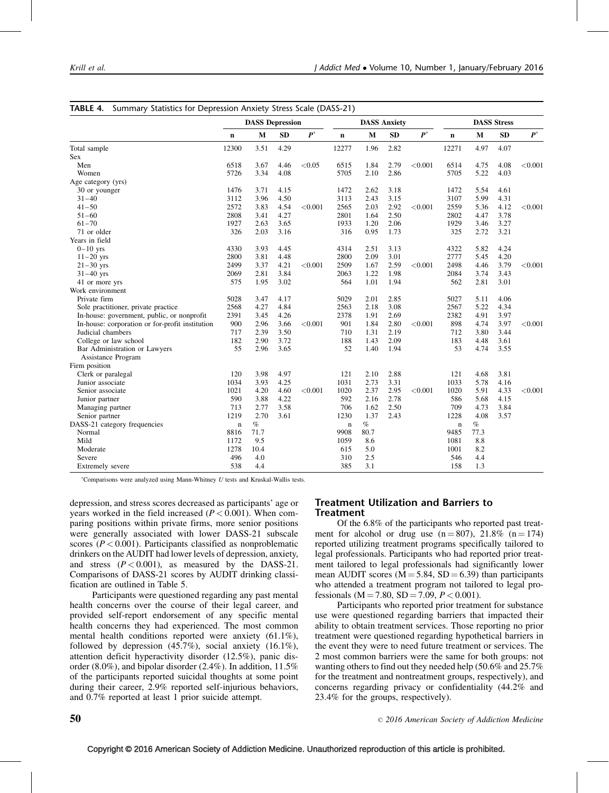|                                                 | <b>DASS Depression</b> |             | <b>DASS Anxiety</b> |                    |             | <b>DASS Stress</b> |           |         |             |              |      |         |
|-------------------------------------------------|------------------------|-------------|---------------------|--------------------|-------------|--------------------|-----------|---------|-------------|--------------|------|---------|
|                                                 | $\mathbf n$            | $\mathbf M$ | <b>SD</b>           | $\boldsymbol{P}^*$ | $\mathbf n$ | $\mathbf{M}$       | <b>SD</b> | $P^*$   | $\mathbf n$ | $\mathbf{M}$ | SD   | $P^*$   |
| Total sample                                    | 12300                  | 3.51        | 4.29                |                    | 12277       | 1.96               | 2.82      |         | 12271       | 4.97         | 4.07 |         |
| <b>Sex</b>                                      |                        |             |                     |                    |             |                    |           |         |             |              |      |         |
| Men                                             | 6518                   | 3.67        | 4.46                | < 0.05             | 6515        | 1.84               | 2.79      | < 0.001 | 6514        | 4.75         | 4.08 | < 0.001 |
| Women                                           | 5726                   | 3.34        | 4.08                |                    | 5705        | 2.10               | 2.86      |         | 5705        | 5.22         | 4.03 |         |
| Age category (yrs)                              |                        |             |                     |                    |             |                    |           |         |             |              |      |         |
| 30 or younger                                   | 1476                   | 3.71        | 4.15                |                    | 1472        | 2.62               | 3.18      |         | 1472        | 5.54         | 4.61 |         |
| $31 - 40$                                       | 3112                   | 3.96        | 4.50                |                    | 3113        | 2.43               | 3.15      |         | 3107        | 5.99         | 4.31 |         |
| $41 - 50$                                       | 2572                   | 3.83        | 4.54                | < 0.001            | 2565        | 2.03               | 2.92      | < 0.001 | 2559        | 5.36         | 4.12 | < 0.001 |
| $51 - 60$                                       | 2808                   | 3.41        | 4.27                |                    | 2801        | 1.64               | 2.50      |         | 2802        | 4.47         | 3.78 |         |
| $61 - 70$                                       | 1927                   | 2.63        | 3.65                |                    | 1933        | 1.20               | 2.06      |         | 1929        | 3.46         | 3.27 |         |
| 71 or older                                     | 326                    | 2.03        | 3.16                |                    | 316         | 0.95               | 1.73      |         | 325         | 2.72         | 3.21 |         |
| Years in field                                  |                        |             |                     |                    |             |                    |           |         |             |              |      |         |
| $0-10$ yrs                                      | 4330                   | 3.93        | 4.45                |                    | 4314        | 2.51               | 3.13      |         | 4322        | 5.82         | 4.24 |         |
| $11-20$ yrs                                     | 2800                   | 3.81        | 4.48                |                    | 2800        | 2.09               | 3.01      |         | 2777        | 5.45         | 4.20 |         |
| $21 - 30$ yrs                                   | 2499                   | 3.37        | 4.21                | < 0.001            | 2509        | 1.67               | 2.59      | < 0.001 | 2498        | 4.46         | 3.79 | < 0.001 |
| $31 - 40$ yrs                                   | 2069                   | 2.81        | 3.84                |                    | 2063        | 1.22               | 1.98      |         | 2084        | 3.74         | 3.43 |         |
| 41 or more yrs                                  | 575                    | 1.95        | 3.02                |                    | 564         | 1.01               | 1.94      |         | 562         | 2.81         | 3.01 |         |
| Work environment                                |                        |             |                     |                    |             |                    |           |         |             |              |      |         |
| Private firm                                    | 5028                   | 3.47        | 4.17                |                    | 5029        | 2.01               | 2.85      |         | 5027        | 5.11         | 4.06 |         |
| Sole practitioner, private practice             | 2568                   | 4.27        | 4.84                |                    | 2563        | 2.18               | 3.08      |         | 2567        | 5.22         | 4.34 |         |
| In-house: government, public, or nonprofit      | 2391                   | 3.45        | 4.26                |                    | 2378        | 1.91               | 2.69      |         | 2382        | 4.91         | 3.97 |         |
| In-house: corporation or for-profit institution | 900                    | 2.96        | 3.66                | < 0.001            | 901         | 1.84               | 2.80      | < 0.001 | 898         | 4.74         | 3.97 | < 0.001 |
| Judicial chambers                               | 717                    | 2.39        | 3.50                |                    | 710         | 1.31               | 2.19      |         | 712         | 3.80         | 3.44 |         |
| College or law school                           | 182                    | 2.90        | 3.72                |                    | 188         | 1.43               | 2.09      |         | 183         | 4.48         | 3.61 |         |
| Bar Administration or Lawyers                   | 55                     | 2.96        | 3.65                |                    | 52          | 1.40               | 1.94      |         | 53          | 4.74         | 3.55 |         |
| Assistance Program                              |                        |             |                     |                    |             |                    |           |         |             |              |      |         |
| Firm position                                   |                        |             |                     |                    |             |                    |           |         |             |              |      |         |
| Clerk or paralegal                              | 120                    | 3.98        | 4.97                |                    | 121         | 2.10               | 2.88      |         | 121         | 4.68         | 3.81 |         |
| Junior associate                                | 1034                   | 3.93        | 4.25                |                    | 1031        | 2.73               | 3.31      |         | 1033        | 5.78         | 4.16 |         |
| Senior associate                                | 1021                   | 4.20        | 4.60                | < 0.001            | 1020        | 2.37               | 2.95      | < 0.001 | 1020        | 5.91         | 4.33 | < 0.001 |
| Junior partner                                  | 590                    | 3.88        | 4.22                |                    | 592         | 2.16               | 2.78      |         | 586         | 5.68         | 4.15 |         |
| Managing partner                                | 713                    | 2.77        | 3.58                |                    | 706         | 1.62               | 2.50      |         | 709         | 4.73         | 3.84 |         |
| Senior partner                                  | 1219                   | 2.70        | 3.61                |                    | 1230        | 1.37               | 2.43      |         | 1228        | 4.08         | 3.57 |         |
| DASS-21 category frequencies                    | $\mathbf n$            | $\%$        |                     |                    | $\mathbf n$ | $\%$               |           |         | $\mathbf n$ | $\%$         |      |         |
| Normal                                          | 8816                   | 71.7        |                     |                    | 9908        | 80.7               |           |         | 9485        | 77.3         |      |         |
| Mild                                            | 1172                   | 9.5         |                     |                    | 1059        | 8.6                |           |         | 1081        | 8.8          |      |         |
| Moderate                                        | 1278                   | 10.4        |                     |                    | 615         | 5.0                |           |         | 1001        | 8.2          |      |         |
| Severe                                          | 496                    | 4.0         |                     |                    | 310         | 2.5                |           |         | 546         | 4.4          |      |         |
| Extremely severe                                | 538                    | 4.4         |                     |                    | 385         | 3.1                |           |         | 158         | 1.3          |      |         |

| TABLE 4. Summary Statistics for Depression Anxiety Stress Scale (DASS-21) |  |  |  |  |  |
|---------------------------------------------------------------------------|--|--|--|--|--|
|                                                                           |  |  |  |  |  |

 $*$ Comparisons were analyzed using Mann-Whitney  $U$  tests and Kruskal-Wallis tests.

depression, and stress scores decreased as participants' age or years worked in the field increased  $(P < 0.001)$ . When comparing positions within private firms, more senior positions were generally associated with lower DASS-21 subscale scores ( $P < 0.001$ ). Participants classified as nonproblematic drinkers on the AUDIT had lower levels of depression, anxiety, and stress  $(P < 0.001)$ , as measured by the DASS-21. Comparisons of DASS-21 scores by AUDIT drinking classification are outlined in Table 5.

Participants were questioned regarding any past mental health concerns over the course of their legal career, and provided self-report endorsement of any specific mental health concerns they had experienced. The most common mental health conditions reported were anxiety (61.1%), followed by depression (45.7%), social anxiety (16.1%), attention deficit hyperactivity disorder (12.5%), panic disorder (8.0%), and bipolar disorder (2.4%). In addition, 11.5% of the participants reported suicidal thoughts at some point during their career, 2.9% reported self-injurious behaviors, and 0.7% reported at least 1 prior suicide attempt.

# Treatment Utilization and Barriers to Treatment

Of the 6.8% of the participants who reported past treatment for alcohol or drug use  $(n = 807)$ , 21.8%  $(n = 174)$ reported utilizing treatment programs specifically tailored to legal professionals. Participants who had reported prior treatment tailored to legal professionals had significantly lower mean AUDIT scores ( $M = 5.84$ , SD = 6.39) than participants who attended a treatment program not tailored to legal professionals ( $M = 7.80$ ,  $SD = 7.09$ ,  $P < 0.001$ ).

Participants who reported prior treatment for substance use were questioned regarding barriers that impacted their ability to obtain treatment services. Those reporting no prior treatment were questioned regarding hypothetical barriers in the event they were to need future treatment or services. The 2 most common barriers were the same for both groups: not wanting others to find out they needed help (50.6% and 25.7% for the treatment and nontreatment groups, respectively), and concerns regarding privacy or confidentiality (44.2% and 23.4% for the groups, respectively).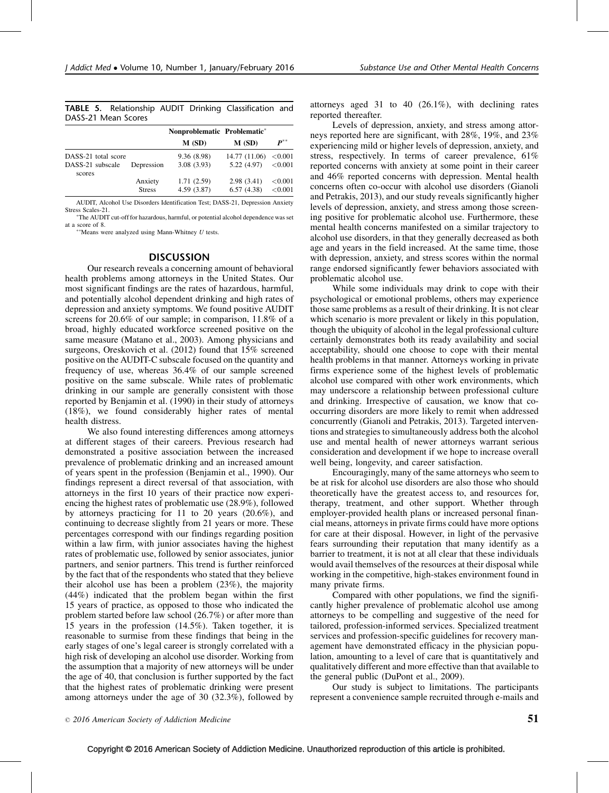|                     |  | TABLE 5. Relationship AUDIT Drinking Classification and |  |
|---------------------|--|---------------------------------------------------------|--|
| DASS-21 Mean Scores |  |                                                         |  |

|                                                   |                          | Nonproblematic Problematic* |                             |                          |
|---------------------------------------------------|--------------------------|-----------------------------|-----------------------------|--------------------------|
|                                                   |                          | M(SD)                       | M(SD)                       | $\boldsymbol{P}^{**}$    |
| DASS-21 total score<br>DASS-21 subscale<br>scores | Depression               | 9.36 (8.98)<br>3.08(3.93)   | 14.77 (11.06)<br>5.22(4.97) | ${<}0.001$<br>${<}0.001$ |
|                                                   | Anxiety<br><b>Stress</b> | 1.71(2.59)<br>4.59 (3.87)   | 2.98(3.41)<br>6.57(4.38)    | ${<}0.001$<br>< 0.001    |

AUDIT, Alcohol Use Disorders Identification Test; DASS-21, Depression Anxiety Stress Scales-21.

 $*$  The AUDIT cut-off for hazardous, harmful, or potential alcohol dependence was set at a score of  $8$ .

 $*$ Means were analyzed using Mann-Whitney U tests.

# **DISCUSSION**

Our research reveals a concerning amount of behavioral health problems among attorneys in the United States. Our most significant findings are the rates of hazardous, harmful, and potentially alcohol dependent drinking and high rates of depression and anxiety symptoms. We found positive AUDIT screens for 20.6% of our sample; in comparison, 11.8% of a broad, highly educated workforce screened positive on the same measure [\(Matano et al., 2003](#page-6-0)). Among physicians and surgeons, [Oreskovich et al. \(2012\)](#page-6-0) found that 15% screened positive on the AUDIT-C subscale focused on the quantity and frequency of use, whereas 36.4% of our sample screened positive on the same subscale. While rates of problematic drinking in our sample are generally consistent with those reported by [Benjamin et al. \(1990\)](#page-6-0) in their study of attorneys (18%), we found considerably higher rates of mental health distress.

We also found interesting differences among attorneys at different stages of their careers. Previous research had demonstrated a positive association between the increased prevalence of problematic drinking and an increased amount of years spent in the profession [\(Benjamin et al., 1990\)](#page-6-0). Our findings represent a direct reversal of that association, with attorneys in the first 10 years of their practice now experiencing the highest rates of problematic use (28.9%), followed by attorneys practicing for 11 to 20 years (20.6%), and continuing to decrease slightly from 21 years or more. These percentages correspond with our findings regarding position within a law firm, with junior associates having the highest rates of problematic use, followed by senior associates, junior partners, and senior partners. This trend is further reinforced by the fact that of the respondents who stated that they believe their alcohol use has been a problem (23%), the majority (44%) indicated that the problem began within the first 15 years of practice, as opposed to those who indicated the problem started before law school (26.7%) or after more than 15 years in the profession (14.5%). Taken together, it is reasonable to surmise from these findings that being in the early stages of one's legal career is strongly correlated with a high risk of developing an alcohol use disorder. Working from the assumption that a majority of new attorneys will be under the age of 40, that conclusion is further supported by the fact that the highest rates of problematic drinking were present among attorneys under the age of 30 (32.3%), followed by

attorneys aged 31 to 40 (26.1%), with declining rates reported thereafter.

Levels of depression, anxiety, and stress among attorneys reported here are significant, with 28%, 19%, and 23% experiencing mild or higher levels of depression, anxiety, and stress, respectively. In terms of career prevalence, 61% reported concerns with anxiety at some point in their career and 46% reported concerns with depression. Mental health concerns often co-occur with alcohol use disorders [\(Gianoli](#page-6-0) [and Petrakis, 2013](#page-6-0)), and our study reveals significantly higher levels of depression, anxiety, and stress among those screening positive for problematic alcohol use. Furthermore, these mental health concerns manifested on a similar trajectory to alcohol use disorders, in that they generally decreased as both age and years in the field increased. At the same time, those with depression, anxiety, and stress scores within the normal range endorsed significantly fewer behaviors associated with problematic alcohol use.

While some individuals may drink to cope with their psychological or emotional problems, others may experience those same problems as a result of their drinking. It is not clear which scenario is more prevalent or likely in this population, though the ubiquity of alcohol in the legal professional culture certainly demonstrates both its ready availability and social acceptability, should one choose to cope with their mental health problems in that manner. Attorneys working in private firms experience some of the highest levels of problematic alcohol use compared with other work environments, which may underscore a relationship between professional culture and drinking. Irrespective of causation, we know that cooccurring disorders are more likely to remit when addressed concurrently [\(Gianoli and Petrakis, 2013](#page-6-0)). Targeted interventions and strategies to simultaneously address both the alcohol use and mental health of newer attorneys warrant serious consideration and development if we hope to increase overall well being, longevity, and career satisfaction.

Encouragingly, many of the same attorneys who seem to be at risk for alcohol use disorders are also those who should theoretically have the greatest access to, and resources for, therapy, treatment, and other support. Whether through employer-provided health plans or increased personal financial means, attorneys in private firms could have more options for care at their disposal. However, in light of the pervasive fears surrounding their reputation that many identify as a barrier to treatment, it is not at all clear that these individuals would avail themselves of the resources at their disposal while working in the competitive, high-stakes environment found in many private firms.

Compared with other populations, we find the significantly higher prevalence of problematic alcohol use among attorneys to be compelling and suggestive of the need for tailored, profession-informed services. Specialized treatment services and profession-specific guidelines for recovery management have demonstrated efficacy in the physician population, amounting to a level of care that is quantitatively and qualitatively different and more effective than that available to the general public ([DuPont et al., 2009\)](#page-6-0).

Our study is subject to limitations. The participants represent a convenience sample recruited through e-mails and